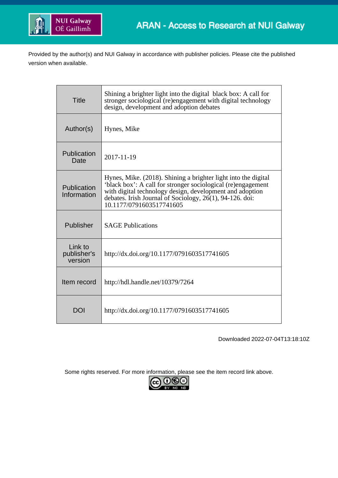

Provided by the author(s) and NUI Galway in accordance with publisher policies. Please cite the published version when available.

| <b>Title</b>                      | Shining a brighter light into the digital black box: A call for<br>stronger sociological (re)engagement with digital technology<br>design, development and adoption debates                                                                                                        |
|-----------------------------------|------------------------------------------------------------------------------------------------------------------------------------------------------------------------------------------------------------------------------------------------------------------------------------|
| Author(s)                         | Hynes, Mike                                                                                                                                                                                                                                                                        |
| Publication<br>Date               | 2017-11-19                                                                                                                                                                                                                                                                         |
| Publication<br>Information        | Hynes, Mike. (2018). Shining a brighter light into the digital<br>'black box': A call for stronger sociological (re)engagement<br>with digital technology design, development and adoption<br>debates. Irish Journal of Sociology, 26(1), 94-126. doi:<br>10.1177/0791603517741605 |
| Publisher                         | <b>SAGE Publications</b>                                                                                                                                                                                                                                                           |
| Link to<br>publisher's<br>version | http://dx.doi.org/10.1177/0791603517741605                                                                                                                                                                                                                                         |
| Item record                       | http://hdl.handle.net/10379/7264                                                                                                                                                                                                                                                   |
| DOI                               | http://dx.doi.org/10.1177/0791603517741605                                                                                                                                                                                                                                         |

Downloaded 2022-07-04T13:18:10Z

Some rights reserved. For more information, please see the item record link above.

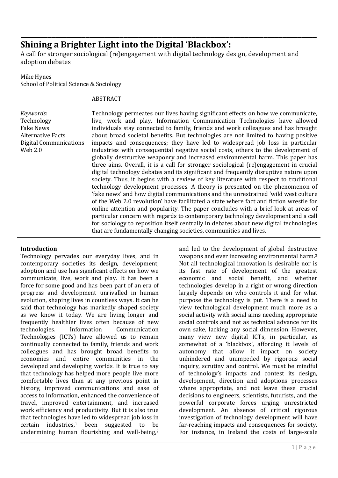# **Shining a Brighter Light into the Digital 'Blackbox':**

A call for stronger sociological (re)engagement with digital technology design, development and adoption debates

**\_\_\_\_\_\_\_\_\_\_\_\_\_\_\_\_\_\_\_\_\_\_\_\_\_\_\_\_\_\_\_\_\_\_\_\_\_\_\_\_\_\_\_\_\_\_\_\_\_\_\_\_\_\_\_\_\_\_\_\_\_\_\_\_\_\_\_\_\_\_\_\_\_\_\_\_\_\_**

### Mike Hynes School of Political Science & Sociology

#### \_\_\_\_\_\_\_\_\_\_\_\_\_\_\_\_\_\_\_\_\_\_\_\_\_\_\_\_\_\_\_\_\_\_\_\_\_\_\_\_\_\_\_\_\_\_\_\_\_\_\_\_\_\_\_\_\_\_\_\_\_\_\_\_\_\_\_\_\_\_\_\_\_\_\_\_\_\_\_\_\_\_\_\_\_\_\_\_\_\_\_\_\_\_\_\_\_\_\_\_\_\_\_\_\_\_\_\_\_\_\_\_\_\_\_\_\_\_\_\_\_\_\_\_\_\_\_\_ ABSTRACT

*Keywords*: Technology Fake News Alternative Facts Digital Communications Web 2.0

Technology permeates our lives having significant effects on how we communicate, live, work and play. Information Communication Technologies have allowed individuals stay connected to family, friends and work colleagues and has brought about broad societal benefits. But technologies are not limited to having positive impacts and consequences; they have led to widespread job loss in particular industries with consequential negative social costs, others to the development of globally destructive weaponry and increased environmental harm. This paper has three aims. Overall, it is a call for stronger sociological (re)engagement in crucial digital technology debates and its significant and frequently disruptive nature upon society. Thus, it begins with a review of key literature with respect to traditional technology development processes. A theory is presented on the phenomenon of 'fake news' and how digital communications and the unrestrained 'wild west culture of the Web 2.0 revolution' have facilitated a state where fact and fiction wrestle for online attention and popularity. The paper concludes with a brief look at areas of particular concern with regards to contemporary technology development and a call for sociology to reposition itself centrally in debates about new digital technologies that are fundamentally changing societies, communities and lives.

# **Introduction**

Technology pervades our everyday lives, and in contemporary societies its design, development, adoption and use has significant effects on how we communicate, live, work and play. It has been a force for some good and has been part of an era of progress and development unrivalled in human evolution, shaping lives in countless ways. It can be said that technology has markedly shaped society as we know it today. We are living longer and frequently healthier lives often because of new technologies. Information Communication Technologies (ICTs) have allowed us to remain continually connected to family, friends and work colleagues and has brought broad benefits to economies and entire communities in the developed and developing worlds. It is true to say that technology has helped more people live more comfortable lives than at any previous point in history, improved communications and ease of access to information, enhanced the convenience of travel, improved entertainment, and increased work efficiency and productivity. But it is also true that technologies have led to widespread job loss in certain industries,<sup>1</sup> been suggested to be undermining human flourishing and well-being, 2

and led to the development of global destructive weapons and ever increasing environmental harm.<sup>3</sup> Not all technological innovation is desirable nor is its fast rate of development of the greatest economic and social benefit, and whether technologies develop in a right or wrong direction largely depends on who controls it and for what purpose the technology is put. There is a need to view technological development much more as a social activity with social aims needing appropriate social controls and not as technical advance for its own sake, lacking any social dimension. However, many view new digital ICTs, in particular, as somewhat of a 'blackbox', affording it levels of autonomy that allow it impact on society unhindered and unimpeded by rigorous social inquiry, scrutiny and control. We must be mindful of technology's impacts and contest its design, development, direction and adoptions processes where appropriate, and not leave these crucial decisions to engineers, scientists, futurists, and the powerful corporate forces urging unrestricted development. An absence of critical rigorous investigation of technology development will have far-reaching impacts and consequences for society. For instance, in Ireland the costs of large-scale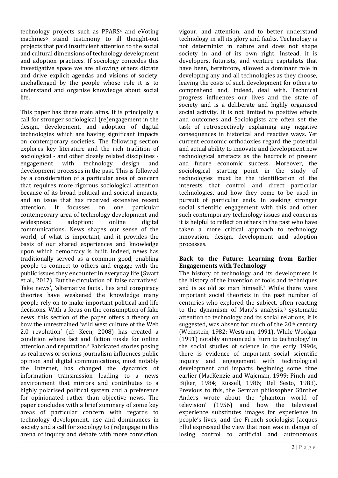technology projects such as PPARS<sup>4</sup> and eVoting machines<sup>5</sup> stand testimony to ill thought-out projects that paid insufficient attention to the social and cultural dimensions of technology development and adoption practices. If sociology concedes this investigative space we are allowing others dictate and drive explicit agendas and visions of society, unchallenged by the people whose role it is to understand and organise knowledge about social life.

This paper has three main aims. It is principally a call for stronger sociological (re)engagement in the design, development, and adoption of digital technologies which are having significant impacts on contemporary societies. The following section explores key literature and the rich tradition of sociological - and other closely related disciplines engagement with technology design and development processes in the past. This is followed by a consideration of a particular area of concern that requires more rigorous sociological attention because of its broad political and societal impacts, and an issue that has received extensive recent attention. It focusses on one particular contemporary area of technology development and widespread adoption; online digital communications. News shapes our sense of the world, of what is important, and it provides the basis of our shared experiences and knowledge upon which democracy is built. Indeed, news has traditionally served as a common good, enabling people to connect to others and engage with the public issues they encounter in everyday life (Swart et al., 2017). But the circulation of 'false narratives', 'fake news', 'alternative facts', lies and conspiracy theories have weakened the knowledge many people rely on to make important political and life decisions. With a focus on the consumption of fake news, this section of the paper offers a theory on how the unrestrained 'wild west culture of the Web 2.0 revolution' (cf: Keen, 2008) has created a condition where fact and fiction tussle for online attention and reputation.<sup>6</sup> Fabricated stories posing as real news or serious journalism influences public opinion and digital communications, most notably the Internet, has changed the dynamics of information transmission leading to a news environment that mirrors and contributes to a highly polarised political system and a preference for opinionated rather than objective news. The paper concludes with a brief summary of some key areas of particular concern with regards to technology development, use and dominances in society and a call for sociology to (re)engage in this arena of inquiry and debate with more conviction,

vigour, and attention, and to better understand technology in all its glory and faults. Technology is not determinist in nature and does not shape society in and of its own right. Instead, it is developers, futurists, and venture capitalists that have been, heretofore, allowed a dominant role in developing any and all technologies as they choose, leaving the costs of such development for others to comprehend and, indeed, deal with. Technical progress influences our lives and the state of society and is a deliberate and highly organised social activity. It is not limited to positive effects and outcomes and Sociologists are often set the task of retrospectively explaining any negative consequences in historical and reactive ways. Yet current economic orthodoxies regard the potential and actual ability to innovate and development new technological artefacts as the bedrock of present and future economic success. Moreover, the sociological starting point in the study of technologies must be the identification of the interests that control and direct particular technologies, and how they come to be used in pursuit of particular ends. In seeking stronger social scientific engagement with this and other such contemporary technology issues and concerns it is helpful to reflect on others in the past who have taken a more critical approach to technology innovation, design, development and adoption processes.

#### **Back to the Future: Learning from Earlier Engagements with Technology**

The history of technology and its development is the history of the invention of tools and techniques and is as old as man himself.<sup>7</sup> While there were important social theorists in the past number of centuries who explored the subject, often reacting to the dynamism of Marx's analysis, $8$  systematic attention to technology and its social relations, it is suggested, was absent for much of the  $20<sup>th</sup>$  century (Weinstein, 1982; Westrum, 1991). While Woolgar (1991) notably announced a 'turn to technology' in the social studies of science in the early 1990s, there is evidence of important social scientific inquiry and engagement with technological development and impacts beginning some time earlier (MacKenzie and Wajcman, 1999; Pinch and Bijker, 1984; Russell, 1986; Del Sesto, 1983). Previous to this, the German philosopher Günther Anders wrote about the 'phantom world of television' (1956) and how the televisual experience substitutes images for experience in people's lives, and the French sociologist Jacques Ellul expressed the view that man was in danger of losing control to artificial and autonomous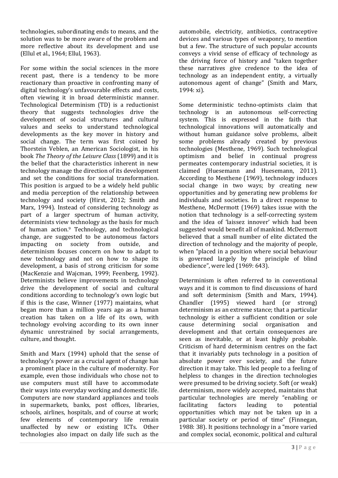technologies, subordinating ends to means, and the solution was to be more aware of the problem and more reflective about its development and use (Ellul et al., 1964; Ellul, 1963).

For some within the social sciences in the more recent past, there is a tendency to be more reactionary than proactive in confronting many of digital technology's unfavourable effects and costs, often viewing it in broad deterministic manner. Technological Determinism (TD) is a reductionist theory that suggests technologies drive the development of social structures and cultural values and seeks to understand technological developments as the key mover in history and social change. The term was first coined by Thorstein Veblen, an American Sociologist, in his book *The Theory of the Leisure Class* (1899) and it is the belief that the characteristics inherent in new technology manage the direction of its development and set the conditions for social transformation. This position is argued to be a widely held public and media perception of the relationship between technology and society (Hirst, 2012; Smith and Marx, 1994). Instead of considering technology as part of a larger spectrum of human activity, determinists view technology as the basis for much of human action.<sup>9</sup> Technology, and technological change, are suggested to be autonomous factors impacting on society from outside, and determinism focuses concern on how to adapt to new technology and not on how to shape its development, a basis of strong criticism for some (MacKenzie and Wajcman, 1999; Feenberg, 1992). Determinists believe improvements in technology drive the development of social and cultural conditions according to technology's own logic but if this is the case, Winner (1977) maintains, what began more than a million years ago as a human creation has taken on a life of its own, with technology evolving according to its own inner dynamic unrestrained by social arrangements, culture, and thought.

Smith and Marx (1994) uphold that the sense of technology's power as a crucial agent of change has a prominent place in the culture of modernity. For example, even those individuals who chose not to use computers must still have to accommodate their ways into everyday working and domestic life. Computers are now standard appliances and tools in supermarkets, banks, post offices, libraries, schools, airlines, hospitals, and of course at work; few elements of contemporary life remain unaffected by new or existing ICTs. Other technologies also impact on daily life such as the

automobile, electricity, antibiotics, contraceptive devices and various types of weaponry, to mention but a few. The structure of such popular accounts conveys a vivid sense of efficacy of technology as the driving force of history and "taken together these narratives give credence to the idea of technology as an independent entity, a virtually autonomous agent of change" (Smith and Marx, 1994: xi).

Some deterministic techno-optimists claim that technology is an autonomous self-correcting system. This is expressed in the faith that technological innovations will automatically and without human guidance solve problems, albeit some problems already created by previous technologies (Mesthene, 1969). Such technological optimism and belief in continual progress permeates contemporary industrial societies, it is claimed (Huesemann and Huesemann, 2011). According to Mesthene (1969), technology induces social change in two ways; by creating new opportunities and by generating new problems for individuals and societies. In a direct response to Mesthene, McDermott (1969) takes issue with the notion that technology is a self-correcting system and the idea of 'laissez innover' which had been suggested would benefit all of mankind. McDermott believed that a small number of elite dictated the direction of technology and the majority of people, when "placed in a position where social behaviour is governed largely by the principle of blind obedience", were led (1969: 643).

Determinism is often referred to in conventional ways and it is common to find discussions of hard and soft determinism (Smith and Marx, 1994). Chandler (1995) viewed hard (or strong) determinism as an extreme stance; that a particular technology is either a sufficient condition or sole cause determining social organisation and development and that certain consequences are seen as inevitable, or at least highly probable. Criticism of hard determinism centres on the fact that it invariably puts technology in a position of absolute power over society, and the future direction it may take. This led people to a feeling of helpless to changes in the direction technologies were presumed to be driving society. Soft (or weak) determinism, more widely accepted, maintains that particular technologies are merely "enabling or facilitating factors leading to potential opportunities which may not be taken up in a particular society or period of time" (Finnegan, 1988: 38). It positions technology in a "more varied and complex social, economic, political and cultural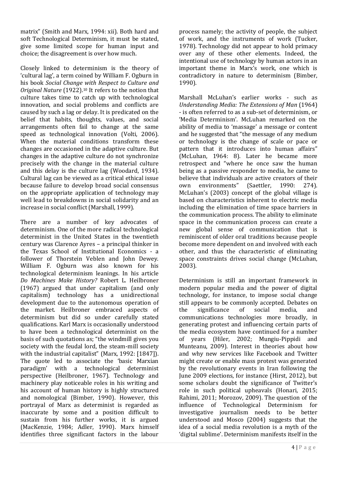matrix" (Smith and Marx, 1994: xii). Both hard and soft Technological Determinism, it must be stated, give some limited scope for human input and choice; the disagreement is over how much.

Closely linked to determinism is the theory of 'cultural lag', a term coined by William F. Ogburn in his book *Social Change with Respect to Culture and Original Nature* (1922). <sup>10</sup> It refers to the notion that culture takes time to catch up with technological innovation, and social problems and conflicts are caused by such a lag or delay. It is predicated on the belief that habits, thoughts, values, and social arrangements often fail to change at the same speed as technological innovation (Volti, 2006). When the material conditions transform these changes are occasioned in the adaptive culture. But changes in the adaptive culture do not synchronize precisely with the change in the material culture and this delay is the culture lag (Woodard, 1934). Cultural lag can be viewed as a critical ethical issue because failure to develop broad social consensus on the appropriate application of technology may well lead to breakdowns in social solidarity and an increase in social conflict (Marshall, 1999).

There are a number of key advocates of determinism. One of the more radical technological determinist in the United States in the twentieth century was Clarence Ayres – a principal thinker in the Texas School of Institutional Economics - a follower of Thorstein Veblen and John Dewey. William F. Ogburn was also known for his technological determinism leanings. In his article *Do Machines Make History?* Robert L. Heilbroner (1967) argued that under capitalism (and only capitalism) technology has a unidirectional development due to the autonomous operation of the market. Heilbroner embraced aspects of determinism but did so under carefully stated qualifications. Karl Marx is occasionally understood to have been a technological determinist on the basis of such quotations as; "the windmill gives you society with the feudal lord, the steam-mill society with the industrial capitalist" (Marx, 1992: [1847]). The quote led to associate the 'basic Marxian paradigm' with a technological determinist perspective (Heilbroner, 1967). Technology and machinery play noticeable roles in his writing and his account of human history is highly structured and nomological (Bimber, 1990). However, this portrayal of Marx as determinist is regarded as inaccurate by some and a position difficult to sustain from his further works, it is argued (MacKenzie, 1984; Adler, 1990). Marx himself identifies three significant factors in the labour

process namely; the activity of people, the subject of work, and the instruments of work (Tucker, 1978). Technology did not appear to hold primacy over any of these other elements. Indeed, the intentional use of technology by human actors in an important theme in Marx's work, one which is contradictory in nature to determinism (Bimber, 1990).

Marshall McLuhan's earlier works - such as *Understanding Media: The Extensions of Man* (1964) - is often referred to as a sub-set of determinism, or 'Media Determinism'. McLuhan remarked on the ability of media to 'massage' a message or content and he suggested that "the message of any medium or technology is the change of scale or pace or pattern that it introduces into human affairs" (McLuhan, 1964: 8). Later he became more retrospect and "where he once saw the human being as a passive responder to media, he came to believe that individuals are active creators of their own environments" (Saettler, 1990: 274). McLuhan's (2003) concept of the global village is based on characteristics inherent to electric media including the elimination of time space barriers in the communication process. The ability to eliminate space in the communication process can create a new global sense of communication that is reminiscent of older oral traditions because people become more dependent on and involved with each other, and thus the characteristic of eliminating space constraints drives social change (McLuhan, 2003).

Determinism is still an important framework in modern popular media and the power of digital technology, for instance, to impose social change still appears to be commonly accepted. Debates on the significance of social media, and communications technologies more broadly, in generating protest and influencing certain parts of the media ecosystem have continued for a number of years (Hiler, 2002; Mungiu-Pippidi and Munteanu, 2009). Interest in theories about how and why new services like Facebook and Twitter might create or enable mass protest was generated by the revolutionary events in Iran following the June 2009 elections, for instance (Hirst, 2012), but some scholars doubt the significance of Twitter's role in such political upheavals (Honari, 2015; Rahimi, 2011; Morozov, 2009). The question of the influence of Technological Determinism for investigative journalism needs to be better understood and Mosco (2004) suggests that the idea of a social media revolution is a myth of the 'digital sublime'. Determinism manifests itself in the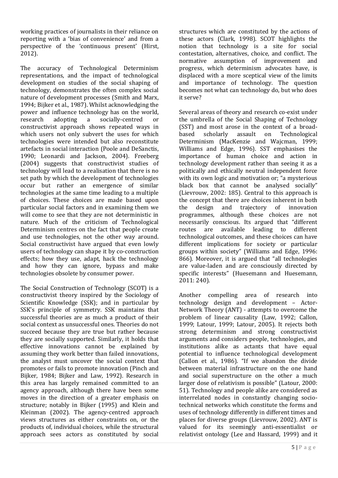working practices of journalists in their reliance on reporting with a 'bias of convenience' and from a perspective of the 'continuous present' (Hirst, 2012).

The accuracy of Technological Determinism representations, and the impact of technological development on studies of the social shaping of technology, demonstrates the often complex social nature of development processes (Smith and Marx, 1994; Bijker et al., 1987). Whilst acknowledging the power and influence technology has on the world, research adopting a socially-centred or constructivist approach shows repeated ways in which users not only subvert the uses for which technologies were intended but also reconstitute artefacts in social interaction (Poole and DeSanctis, 1990; Leonardi and Jackson, 2004). Freeberg (2004) suggests that constructivist studies of technology will lead to a realisation that there is no set path by which the development of technologies occur but rather an emergence of similar technologies at the same time leading to a multiple of choices. These choices are made based upon particular social factors and in examining them we will come to see that they are not deterministic in nature. Much of the criticism of Technological Determinism centres on the fact that people create and use technologies, not the other way around. Social constructivist have argued that even lowly users of technology can shape it by co-construction effects; how they use, adapt, hack the technology and how they can ignore, bypass and make technologies obsolete by consumer power.

The Social Construction of Technology (SCOT) is a constructivist theory inspired by the Sociology of Scientific Knowledge (SSK); and in particular by SSK's principle of symmetry. SSK maintains that successful theories are as much a product of their social context as unsuccessful ones. Theories do not succeed because they are true but rather because they are socially supported. Similarly, it holds that effective innovations cannot be explained by assuming they work better than failed innovations, the analyst must uncover the social context that promotes or fails to promote innovation (Pinch and Bijker, 1984; Bijker and Law, 1992). Research in this area has largely remained committed to an agency approach, although there have been some moves in the direction of a greater emphasis on structure; notably in Bijker (1995) and Klein and Kleinman (2002). The agency-centred approach views structures as either constraints on, or the products of, individual choices, while the structural approach sees actors as constituted by social

structures which are constituted by the actions of these actors (Clark, 1998). SCOT highlights the notion that technology is a site for social contestation, alternatives, choice, and conflict. The normative assumption of improvement and progress, which determinism advocates have, is displaced with a more sceptical view of the limits and importance of technology. The question becomes not what can technology do, but who does it serve?

Several areas of theory and research co-exist under the umbrella of the Social Shaping of Technology (SST) and most arose in the context of a broadbased scholarly assault on Technological Determinism (MacKenzie and Wajcman, 1999; Williams and Edge, 1996). SST emphasises the importance of human choice and action in technology development rather than seeing it as a politically and ethically neutral independent force with its own logic and motivation or; "a mysterious black box that cannot be analysed socially" (Lievrouw, 2002: 185). Central to this approach is the concept that there are choices inherent in both the design and trajectory of innovation programmes, although these choices are not necessarily conscious. Its argued that "different routes are available leading to different technological outcomes, and these choices can have different implications for society or particular groups within society" (Williams and Edge, 1996: 866). Moreover, it is argued that "all technologies are value-laden and are consciously directed by specific interests" (Huesemann and Huesemann, 2011: 240).

Another compelling area of research into technology design and development – Actor-Network Theory (ANT) - attempts to overcome the problem of linear causality (Law, 1992; Callon, 1999; Latour, 1999; Latour, 2005). It rejects both strong determinism and strong constructivist arguments and considers people, technologies, and institutions alike as actants that have equal potential to influence technological development (Callon et al., 1986). "If we abandon the divide between material infrastructure on the one hand and social superstructure on the other a much larger dose of relativism is possible" (Latour, 2000: 51). Technology and people alike are considered as interrelated nodes in constantly changing sociotechnical networks which constitute the forms and uses of technology differently in different times and places for diverse groups (Lievrouw, 2002). ANT is valued for its seemingly anti-essentialist or relativist ontology (Lee and Hassard, 1999) and it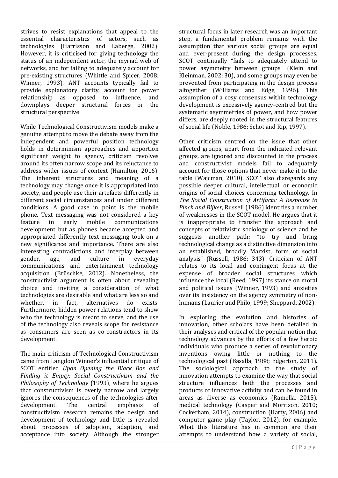strives to resist explanations that appeal to the essential characteristics of actors, such as technologies (Harrisson and Laberge, 2002). However, it is criticised for giving technology the status of an independent actor, the myriad web of networks, and for failing to adequately account for pre-existing structures (Whittle and Spicer, 2008; Winner, 1993). ANT accounts typically fail to provide explanatory clarity, account for power relationship as opposed to influence, and downplays deeper structural forces or the structural perspective.

While Technological Constructivism models make a genuine attempt to move the debate away from the independent and powerful position technology holds in determinism approaches and apportion significant weight to agency, criticism revolves around its often narrow scope and its reluctance to address wider issues of context (Hamilton, 2016). The inherent structures and meaning of a technology may change once it is appropriated into society, and people use their artefacts differently in different social circumstances and under different conditions. A good case in point is the mobile phone. Text messaging was not considered a key feature in early mobile communications development but as phones became accepted and appropriated differently text messaging took on a new significance and importance. There are also interesting contradictions and interplay between gender, age, and culture in everyday communications and entertainment technology acquisition (Brüschke, 2012). Nonetheless, the constructivist argument is often about revealing choice and inviting a consideration of what technologies are desirable and what are less so and whether, in fact, alternatives do exists. Furthermore, hidden power relations tend to show who the technology is meant to serve, and the use of the technology also reveals scope for resistance as consumers are seen as co-constructors in its development.

The main criticism of Technological Constructivism came from Langdon Winner's influential critique of SCOT entitled *Upon Opening the Black Box and Finding it Empty: Social Constructivism and the Philosophy of Technology* (1993), where he argues that constructivism is overly narrow and largely ignores the consequences of the technologies after development. The central emphasis of constructivism research remains the design and development of technology and little is revealed about processes of adoption, adaption, and acceptance into society. Although the stronger

structural focus in later research was an important step, a fundamental problem remains with the assumption that various social groups are equal and ever-present during the design processes. SCOT continually "fails to adequately attend to power asymmetry between groups" (Klein and Kleinman, 2002: 30), and some groups may even be prevented from participating in the design process altogether (Williams and Edge, 1996). This assumption of a cosy consensus within technology development is excessively agency-centred but the systematic asymmetries of power, and how power differs, are deeply rooted in the structural features of social life (Noble, 1986; Schot and Rip, 1997).

Other criticism centred on the issue that other affected groups, apart from the indicated relevant groups, are ignored and discounted in the process and constructivist models fail to adequately account for those options that never make it to the table (Wajcman, 2010). SCOT also disregards any possible deeper cultural, intellectual, or economic origins of social choices concerning technology. In *The Social Construction of Artifacts: A Response to Pinch and Bijker,* Russell (1986) identifies a number of weaknesses in the SCOT model. He argues that it is inappropriate to transfer the approach and concepts of relativistic sociology of science and he suggests another path; "to try and bring technological change as a distinctive dimension into an established, broadly Marxist, form of social analysis" (Russell, 1986: 343). Criticism of ANT relates to its local and contingent focus at the expense of broader social structures which influence the local (Reed, 1997) its stance on moral and political issues (Winner, 1993) and anxieties over its insistency on the agency symmetry of nonhumans (Laurier and Philo, 1999; Sheppard, 2002).

In exploring the evolution and histories of innovation, other scholars have been detailed in their analyses and critical of the popular notion that technology advances by the efforts of a few heroic individuals who produce a series of revolutionary inventions owing little or nothing to the technological past (Basalla, 1988; Edgerton, 2011). The sociological approach to the study of innovation attempts to examine the way that social structure influences both the processes and products of innovative activity and can be found in areas as diverse as economics (Ramella, 2015), medical technology (Casper and Morrison, 2010; Cockerham, 2014), construction (Harty, 2006) and computer game play (Taylor, 2012), for example. What this literature has in common are their attempts to understand how a variety of social,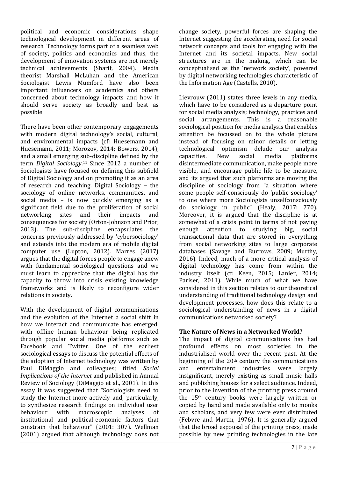political and economic considerations shape technological development in different areas of research. Technology forms part of a seamless web of society, politics and economics and thus, the development of innovation systems are not merely technical achievements (Sharif, 2004). Media theorist Marshall McLuhan and the American Sociologist Lewis Mumford have also been important influencers on academics and others concerned about technology impacts and how it should serve society as broadly and best as possible.

There have been other contemporary engagements with modern digital technology's social, cultural, and environmental impacts (cf: Huesemann and Huesemann, 2011; Morozov, 2014; Bowers, 2014), and a small emerging sub-discipline defined by the term *Digital Sociology*. <sup>11</sup> Since 2012 a number of Sociologists have focused on defining this subfield of Digital Sociology and on promoting it as an area of research and teaching. Digital Sociology – the sociology of online networks, communities, and social media – is now quickly emerging as a significant field due to the proliferation of social networking sites and their impacts and consequences for society (Orton-Johnson and Prior, 2013). The sub-discipline encapsulates the concerns previously addressed by 'cybersociology' and extends into the modern era of mobile digital computer use (Lupton, 2012). Marres (2017) argues that the digital forces people to engage anew with fundamental sociological questions and we must learn to appreciate that the digital has the capacity to throw into crisis existing knowledge frameworks and is likely to reconfigure wider relations in society.

With the development of digital communications and the evolution of the Internet a social shift in how we interact and communicate has emerged, with offline human behaviour being replicated through popular social media platforms such as Facebook and Twitter. One of the earliest sociological essays to discuss the potential effects of the adoption of Internet technology was written by Paul DiMaggio and colleagues; titled *Social Implications of the Internet* and published in Annual Review of Sociology (DiMaggio et al., 2001). In this essay it was suggested that "Sociologists need to study the Internet more actively and, particularly, to synthesize research findings on individual user behaviour with macroscopic analyses of institutional and political-economic factors that constrain that behaviour" (2001: 307). Wellman (2001) argued that although technology does not change society, powerful forces are shaping the Internet suggesting the accelerating need for social network concepts and tools for engaging with the Internet and its societal impacts. New social structures are in the making, which can be conceptualised as the 'network society', powered by digital networking technologies characteristic of the Information Age (Castells, 2010).

Lievrouw (2011) states three levels in any media, which have to be considered as a departure point for social media analysis; technology, practices and social arrangements. This is a reasonable sociological position for media analysis that enables attention be focussed on to the whole picture instead of focusing on minor details or letting technological optimism delude our analysis capacities. New social media platforms disintermediate communication, make people more visible, and encourage public life to be measure, and its argued that such platforms are moving the discipline of sociology from "a situation where some people self-consciously do 'public sociology' to one where more Sociologists unselfconsciously do sociology in public" (Healy, 2017: 770). Moreover, it is argued that the discipline is at somewhat of a crisis point in terms of not paying enough attention to studying big, social transactional data that are stored in everything from social networking sites to large corporate databases (Savage and Burrows, 2009; Murthy, 2016). Indeed, much of a more critical analysis of digital technology has come from within the industry itself (cf: Keen, 2015; Lanier, 2014; Pariser, 2011). While much of what we have considered in this section relates to our theoretical understanding of traditional technology design and development processes, how does this relate to a sociological understanding of news in a digital communications networked society?

# **The Nature of News in a Networked World?**

The impact of digital communications has had profound effects on most societies in the industrialised world over the recent past. At the beginning of the  $20<sup>th</sup>$  century the communications and entertainment industries were largely insignificant, merely existing as small music halls and publishing houses for a select audience. Indeed, prior to the invention of the printing press around the 15th century books were largely written or copied by hand and made available only to monks and scholars, and very few were ever distributed (Febvre and Martin, 1976). It is generally argued that the broad espousal of the printing press, made possible by new printing technologies in the late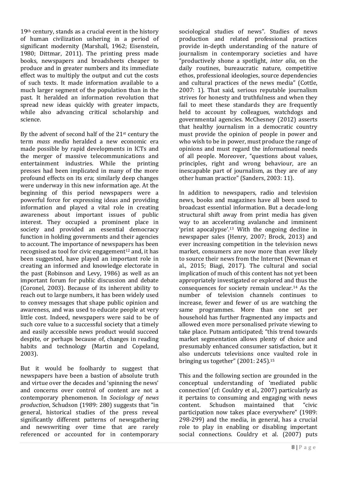19th century, stands as a crucial event in the history of human civilization ushering in a period of significant modernity (Marshall, 1962; Eisenstein, 1980; Dittmar, 2011). The printing press made books, newspapers and broadsheets cheaper to produce and in greater numbers and its immediate effect was to multiply the output and cut the costs of such texts. It made information available to a much larger segment of the population than in the past. It heralded an information revolution that spread new ideas quickly with greater impacts, while also advancing critical scholarship and science.

By the advent of second half of the 21st century the term *mass media* heralded a new economic era made possible by rapid developments in ICTs and the merger of massive telecommunications and entertainment industries. While the printing presses had been implicated in many of the more profound effects on its era; similarly deep changes were underway in this new information age. At the beginning of this period newspapers were a powerful force for expressing ideas and providing information and played a vital role in creating awareness about important issues of public interest. They occupied a prominent place in society and provided an essential democracy function in holding governments and their agencies to account. The importance of newspapers has been recognised as tool for civic engagement<sup>12</sup> and, it has been suggested, have played an important role in creating an informed and knowledge electorate in the past (Robinson and Levy, 1986) as well as an important forum for public discussion and debate (Coronel, 2003). Because of its inherent ability to reach out to large numbers, it has been widely used to convey messages that shape public opinion and awareness, and was used to educate people at very little cost. Indeed, newspapers were said to be of such core value to a successful society that a timely and easily accessible news product would succeed despite, or perhaps because of, changes in reading habits and technology (Martin and Copeland, 2003).

But it would be foolhardy to suggest that newspapers have been a bastion of absolute truth and virtue over the decades and 'spinning the news' and concerns over control of content are not a contemporary phenomenon. In *Sociology of news production*, Schudson (1989: 280) suggests that "in general, historical studies of the press reveal significantly different patterns of newsgathering and newswriting over time that are rarely referenced or accounted for in contemporary

sociological studies of news". Studies of news production and related professional practices provide in-depth understanding of the nature of journalism in contemporary societies and have "productively shone a spotlight, *inter alia*, on the daily routines, bureaucratic nature, competitive ethos, professional ideologies, source dependencies and cultural practices of the news media" (Cottle, 2007: 1). That said, serious reputable journalism strives for honesty and truthfulness and when they fail to meet these standards they are frequently held to account by colleagues, watchdogs and governmental agencies. McChesney (2012) asserts that healthy journalism in a democratic country must provide the opinion of people in power and who wish to be in power, must produce the range of opinions and must regard the informational needs of all people. Moreover, "questions about values, principles, right and wrong behaviour, are an inescapable part of journalism, as they are of any other human practice" (Sanders, 2003: 11).

In addition to newspapers, radio and television news, books and magazines have all been used to broadcast essential information. But a decade-long structural shift away from print media has given way to an accelerating avalanche and imminent 'print apocalypse'.<sup>13</sup> With the ongoing decline in newspaper sales (Henry, 2007; Brock, 2013) and ever increasing competition in the television news market, consumers are now more than ever likely to source their news from the Internet (Newman et al., 2015; Biagi, 2017). The cultural and social implication of much of this content has not yet been appropriately investigated or explored and thus the consequences for society remain unclear.<sup>14</sup> As the number of television channels continues to increase, fewer and fewer of us are watching the same programmes. More than one set per household has further fragmented any impacts and allowed even more personalised private viewing to take place. Putnam anticipated; "this trend towards market segmentation allows plenty of choice and presumably enhanced consumer satisfaction, but it also undercuts televisions once vaulted role in bringing us together" (2001: 245). 15

This and the following section are grounded in the conceptual understanding of 'mediated public connection' (cf: Couldry et al., 2007) particularly as it pertains to consuming and engaging with news content. Schudson maintained that "civic participation now takes place everywhere" (1989: 298-299) and the media, in general, has a crucial role to play in enabling or disabling important social connections. Couldry et al. (2007) puts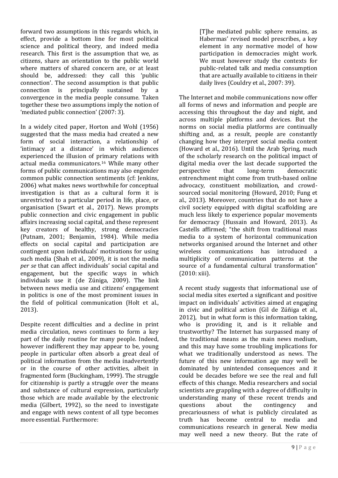forward two assumptions in this regards which, in effect, provide a bottom line for most political science and political theory, and indeed media research. This first is the assumption that we, as citizens, share an orientation to the public world where matters of shared concern are, or at least should be, addressed: they call this 'public connection'. The second assumption is that public connection is principally sustained by a convergence in the media people consume. Taken together these two assumptions imply the notion of 'mediated public connection' (2007: 3).

In a widely cited paper, Horton and Wohl (1956) suggested that the mass media had created a new form of social interaction, a relationship of 'intimacy at a distance' in which audiences experienced the illusion of primary relations with actual media communicators.<sup>16</sup> While many other forms of public communications may also engender common public connection sentiments (cf: Jenkins, 2006) what makes news worthwhile for conceptual investigation is that as a cultural form it is unrestricted to a particular period in life, place, or organisation (Swart et al., 2017). News prompts public connection and civic engagement in public affairs increasing social capital, and these represent key creators of healthy, strong democracies (Putnam, 2001; Benjamin, 1984). While media effects on social capital and participation are contingent upon individuals' motivations for using such media (Shah et al., 2009), it is not the media *per se* that can affect individuals' social capital and engagement, but the specific ways in which individuals use it (de Zúniga, 2009). The link between news media use and citizens' engagement in politics is one of the most prominent issues in the field of political communication (Holt et al., 2013).

Despite recent difficulties and a decline in print media circulation, news continues to form a key part of the daily routine for many people. Indeed, however indifferent they may appear to be, young people in particular often absorb a great deal of political information from the media inadvertently or in the course of other activities, albeit in fragmented form (Buckingham, 1999). The struggle for citizenship is partly a struggle over the means and substance of cultural expression, particularly those which are made available by the electronic media (Gilbert, 1992), so the need to investigate and engage with news content of all type becomes more essential. Furthermore:

[T]he mediated public sphere remains, as Habermas' revised model prescribes, a key element in any normative model of how participation in democracies might work. We must however study the contexts for public-related talk and media consumption that are actually available to citizens in their daily lives (Couldry et al., 2007: 39).

The Internet and mobile communications now offer all forms of news and information and people are accessing this throughout the day and night, and across multiple platforms and devices. But the norms on social media platforms are continually shifting and, as a result, people are constantly changing how they interpret social media content (Howard et al., 2016). Until the Arab Spring, much of the scholarly research on the political impact of digital media over the last decade supported the perspective that long-term democratic entrenchment might come from truth-based online advocacy, constituent mobilization, and crowdsourced social monitoring (Howard, 2010; Fung et al., 2013). Moreover, countries that do not have a civil society equipped with digital scaffolding are much less likely to experience popular movements for democracy (Hussain and Howard, 2013). As Castells affirmed; "the shift from traditional mass media to a system of horizontal communication networks organised around the Internet and other wireless communications has introduced a multiplicity of communication patterns at the source of a fundamental cultural transformation" (2010: xiii).

A recent study suggests that informational use of social media sites exerted a significant and positive impact on individuals' activities aimed at engaging in civic and political action (Gil de Zúñiga et al., 2012), but in what form is this information taking, who is providing it, and is it reliable and trustworthy? The Internet has surpassed many of the traditional means as the main news medium, and this may have some troubling implications for what we traditionally understood as news. The future of this new information age may well be dominated by unintended consequences and it could be decades before we see the real and full effects of this change. Media researchers and social scientists are grappling with a degree of difficulty in understanding many of these recent trends and questions about the contingency and precariousness of what is publicly circulated as truth has become central to media and communications research in general. New media may well need a new theory. But the rate of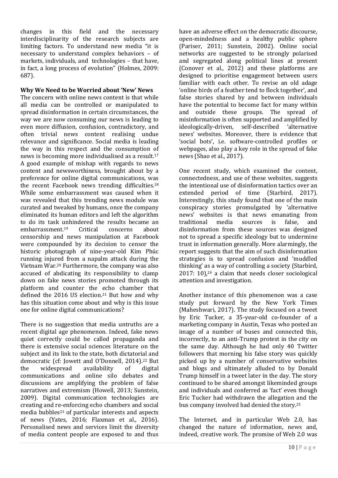changes in this field and the necessary interdisciplinarity of the research subjects are limiting factors. To understand new media "it is necessary to understand complex behaviors – of markets, individuals, and technologies – that have, in fact, a long process of evolution" (Holmes, 2009: 687).

### **Why We Need to be Worried about 'New' News**

The concern with online news content is that while all media can be controlled or manipulated to spread disinformation in certain circumstances, the way we are now consuming our news is leading to even more diffusion, confusion, contradictory, and often trivial news content realising undue relevance and significance. Social media is leading the way in this respect and the consumption of news is becoming more individualised as a result.<sup>17</sup> A good example of mishap with regards to news content and newsworthiness, brought about by a preference for online digital communications, was the recent Facebook news trending difficulties.<sup>18</sup> While some embarrassment was caused when it was revealed that this trending news module was curated and tweaked by humans, once the company eliminated its human editors and left the algorithm to do its task unhindered the results became an embarrassment. Critical concerns about censorship and news manipulation at Facebook were compounded by its decision to censor the historic photograph of nine-year-old Kim Phúc running injured from a napalm attack during the Vietnam War.<sup>20</sup> Furthermore, the company was also accused of abdicating its responsibility to clamp down on fake news stories promoted through its platform and counter the echo chamber that defined the 2016 US election.<sup>21</sup> But how and why has this situation come about and why is this issue one for online digital communications?

There is no suggestion that media untruths are a recent digital age phenomenon. Indeed, fake news quiet correctly could be called propaganda and there is extensive social sciences literature on the subject and its link to the state, both dictatorial and democratic (cf: Jowett and O'Donnell, 2014). <sup>22</sup> But the widespread availability of digital communications and online silo debates and discussions are amplifying the problem of false narratives and extremism (Howell, 2013; Sunstein, 2009). Digital communication technologies are creating and re-enforcing echo chambers and social media bubbles<sup>23</sup> of particular interests and aspects of news (Yates, 2016; Flaxman et al., 2016). Personalised news and services limit the diversity of media content people are exposed to and thus

have an adverse effect on the democratic discourse, open-mindedness and a healthy public sphere (Pariser, 2011; Sunstein, 2002). Online social networks are suggested to be strongly polarised and segregated along political lines at present (Conover et al., 2012) and these platforms are designed to prioritise engagement between users familiar with each other. To revise an old adage 'online birds of a feather tend to flock together', and false stories shared by and between individuals have the potential to become fact for many within and outside these groups. The spread of misinformation is often supported and amplified by ideologically-driven, self-described 'alternative news' websites. Moreover, there is evidence that 'social bots', i.e. software-controlled profiles or webpages, also play a key role in the spread of fake news (Shao et al., 2017).

One recent study, which examined the content, connectedness, and use of these websites, suggests the intentional use of disinformation tactics over an extended period of time (Starbird, 2017). Interestingly, this study found that one of the main conspiracy stories promulgated by 'alternative news' websites is that news emanating from traditional media sources is false, and disinformation from these sources was designed not to spread a specific ideology but to undermine trust in information generally. More alarmingly, the report suggests that the aim of such disinformation strategies is to spread confusion and 'muddled thinking' as a way of controlling a society (Starbird, 2017: 10), <sup>24</sup> a claim that needs closer sociological attention and investigation.

Another instance of this phenomenon was a case study put forward by the New York Times (Maheshwari, 2017). The study focused on a tweet by Eric Tucker, a 35-year-old co-founder of a marketing company in Austin, Texas who posted an image of a number of buses and connected this, incorrectly, to an anti-Trump protest in the city on the same day. Although he had only 40 Twitter followers that morning his false story was quickly picked up by a number of conservative websites and blogs and ultimately alluded to by Donald Trump himself in a tweet later in the day. The story continued to be shared amongst likeminded groups and individuals and conferred as 'fact' even though Eric Tucker had withdrawn the allegation and the bus company involved had denied the story.<sup>25</sup>

The Internet, and in particular Web 2.0, has changed the nature of information, news and, indeed, creative work. The promise of Web 2.0 was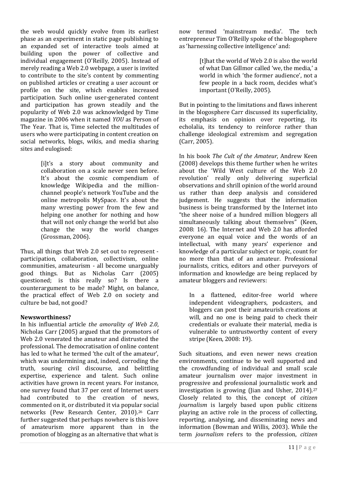the web would quickly evolve from its earliest phase as an experiment in static page publishing to an expanded set of interactive tools aimed at building upon the power of collective and individual engagement (O'Reilly, 2005). Instead of merely reading a Web 2.0 webpage, a user is invited to contribute to the site's content by commenting on published articles or creating a user account or profile on the site, which enables increased participation. Such online user-generated content and participation has grown steadily and the popularity of Web 2.0 was acknowledged by Time magazine in 2006 when it named *YOU* as Person of The Year. That is, Time selected the multitudes of users who were participating in content creation on social networks, blogs, wikis, and media sharing sites and eulogised:

> [i]t's a story about community and collaboration on a scale never seen before. It's about the cosmic compendium of knowledge Wikipedia and the millionchannel people's network YouTube and the online metropolis MySpace. It's about the many wresting power from the few and helping one another for nothing and how that will not only change the world but also change the way the world changes (Grossman, 2006).

Thus, all things that Web 2.0 set out to represent participation, collaboration, collectivism, online communities, amateurism - all become unarguably good things. But as Nicholas Carr (2005) questioned; is this really so? Is there a counterargument to be made? Might, on balance, the practical effect of Web 2.0 on society and culture be bad, not good?

#### **Newsworthiness?**

In his influential article *the amorality of Web 2.0*, Nicholas Carr (2005) argued that the promotors of Web 2.0 venerated the amateur and distrusted the professional. The democratisation of online content has led to what he termed 'the cult of the amateur', which was undermining and, indeed, corroding the truth, souring civil discourse, and belittling expertise, experience and talent. Such online activities have grown in recent years. For instance, one survey found that 37 per cent of Internet users had contributed to the creation of news, commented on it, or distributed it via popular social networks (Pew Research Center, 2010). <sup>26</sup> Carr further suggested that perhaps nowhere is this love of amateurism more apparent than in the promotion of blogging as an alternative that what is

now termed 'mainstream media'. The tech entrepreneur Tim O'Reilly spoke of the blogosphere as 'harnessing collective intelligence' and:

> [t]hat the world of Web 2.0 is also the world of what Dan Gillmor called 'we, the media,' a world in which 'the former audience', not a few people in a back room, decides what's important (O'Reilly, 2005).

But in pointing to the limitations and flaws inherent in the blogosphere Carr discussed its superficiality, its emphasis on opinion over reporting, its echolalia, its tendency to reinforce rather than challenge ideological extremism and segregation (Carr, 2005).

In his book *The Cult of the Amateur*, Andrew Keen (2008) develops this theme further when he writes about the 'Wild West culture of the Web 2.0 revolution' really only delivering superficial observations and shrill opinion of the world around us rather than deep analysis and considered judgement. He suggests that the information business is being transformed by the Internet into "the sheer noise of a hundred million bloggers all simultaneously talking about themselves" (Keen, 2008: 16). The Internet and Web 2.0 has afforded everyone an equal voice and the words of an intellectual, with many years' experience and knowledge of a particular subject or topic, count for no more than that of an amateur. Professional journalists, critics, editors and other purveyors of information and knowledge are being replaced by amateur bloggers and reviewers:

In a flattened, editor-free world where independent videographers, podcasters, and bloggers can post their amateurish creations at will, and no one is being paid to check their credentials or evaluate their material, media is vulnerable to untrustworthy content of every stripe (Keen, 2008: 19).

Such situations, and even newer news creation environments, continue to be well supported and the crowdfunding of individual and small scale amateur journalism over major investment in progressive and professional journalistic work and investigation is growing (Jian and Usher, 2014). 27 Closely related to this, the concept of *citizen journalism* is largely based upon public citizens playing an active role in the process of collecting, reporting, analysing, and disseminating news and information (Bowman and Willis, 2003). While the term *journalism* refers to the profession, *citizen*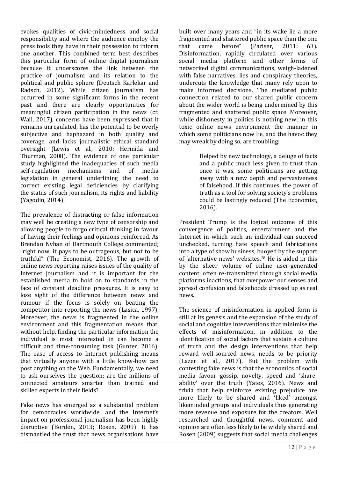evokes qualities of civic-mindedness and social responsibility and where the audience employ the press tools they have in their possession to inform one another. This combined term best describes this particular form of online digital journalism because it underscores the link between the practice of journalism and its relation to the political and public sphere (Deutsch Karlekar and Radsch, 2012). While citizen journalism has occurred in some significant forms in the recent past and there are clearly opportunities for meaningful citizen participation in the news (cf: Wall, 2017), concerns have been expressed that it remains unregulated, has the potential to be overly subjective and haphazard in both quality and coverage, and lacks journalistic ethical standard oversight (Lewis et al., 2010; Hermida and Thurman, 2008). The evidence of one particular study highlighted the inadequacies of such media self-regulation mechanisms and of media legislation in general underlining the need to correct existing legal deficiencies by clarifying the status of such journalism, its rights and liability (Yagodin, 2014).

The prevalence of distracting or false information may well be creating a new type of censorship and allowing people to forgo critical thinking in favour of having their feelings and opinions reinforced. As Brendan Nyhan of Dartmouth College commented; "right now, it pays to be outrageous, but not to be truthful" (The Economist, 2016). The growth of online news reporting raises issues of the quality of Internet journalism and it is important for the established media to hold on to standards in the face of constant deadline pressures. It is easy to lose sight of the difference between news and rumour if the focus is solely on beating the competitor into reporting the news (Lasica, 1997). Moreover, the news is fragmented in the online environment and this fragmentation means that, without help, finding the particular information the individual is most interested in can become a difficult and time-consuming task (Gunter, 2016). The ease of access to Internet publishing means that virtually anyone with a little know-how can post anything on the Web. Fundamentally, we need to ask ourselves the question; are the millions of connected amateurs smarter than trained and skilled experts in their fields?

Fake news has emerged as a substantial problem for democracies worldwide, and the Internet's impact on professional journalism has been highly disruptive (Borden, 2013; Rosen, 2009). It has dismantled the trust that news organisations have built over many years and "in its wake lie a more fragmented and shattered public space than the one that came before" (Pariser, 2011: 63). Disinformation, rapidly circulated over various social media platform and other forms of networked digital communications, weigh-ladened with false narratives, lies and conspiracy theories, undercuts the knowledge that many rely upon to make informed decisions. The mediated public connection related to our shared public concern about the wider world is being undermined by this fragmented and shattered public space. Moreover, while dishonesty in politics is nothing new; in this toxic online news environment the manner in which some politicians now lie, and the havoc they may wreak by doing so, are troubling:

> Helped by new technology, a deluge of facts and a public much less given to trust than once it was, some politicians are getting away with a new depth and pervasiveness of falsehood. If this continues, the power of truth as a tool for solving society's problems could be lastingly reduced (The Economist, 2016).

President Trump is the logical outcome of this convergence of politics, entertainment and the Internet in which such an individual can succeed unchecked, turning hate speech and fabrications into a type of show business, buoyed by the support of 'alternative news' websites.<sup>28</sup> He is aided in this by the sheer volume of online user-generated content, often re-transmitted through social media platforms inactions, that overpower our senses and spread confusion and falsehoods dressed up as real news.

The science of misinformation in applied form is still at its genesis and the expansion of the study of social and cognitive interventions that minimise the effects of misinformation, in addition to the identification of social factors that sustain a culture of truth and the design interventions that help reward well-sourced news, needs to be priority (Lazer et al., 2017). But the problem with contesting fake news is that the economics of social media favour gossip, novelty, speed and 'shareability' over the truth (Yates, 2016). News and trivia that help reinforce existing prejudice are more likely to be shared and 'liked' amongst likeminded groups and individuals thus generating more revenue and exposure for the creators. Well researched and thoughtful news, comment and opinion are often less likely to be widely shared and Rosen (2009) suggests that social media challenges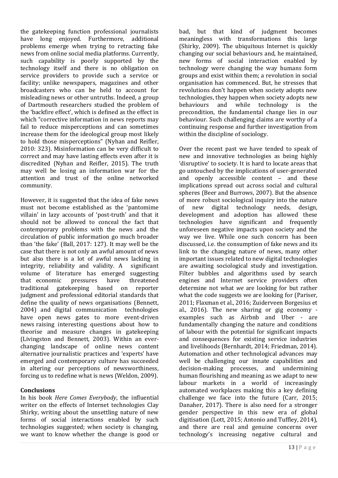the gatekeeping function professional journalists have long enjoyed. Furthermore, additional problems emerge when trying to retracting fake news from online social media platforms. Currently, such capability is poorly supported by the technology itself and there is no obligation on service providers to provide such a service or facility; unlike newspapers, magazines and other broadcasters who can be held to account for misleading news or other untruths. Indeed, a group of Dartmouth researchers studied the problem of the 'backfire effect', which is defined as the effect in which "corrective information in news reports may fail to reduce misperceptions and can sometimes increase them for the ideological group most likely to hold those misperceptions" (Nyhan and Reifler, 2010: 323). Misinformation can be very difficult to correct and may have lasting effects even after it is discredited (Nyhan and Reifler, 2015). The truth may well be losing an information war for the attention and trust of the online networked community.

However, it is suggested that the idea of fake news must not become established as the 'pantomime villain' in lazy accounts of 'post-truth' and that it should not be allowed to conceal the fact that contemporary problems with the news and the circulation of public information go much broader than 'the fake' (Ball, 2017: 127). It may well be the case that there is not only an awful amount of news but also there is a lot of awful news lacking in integrity, reliability and validity. A significant volume of literature has emerged suggesting that economic pressures have threatened traditional gatekeeping based on reporter judgment and professional editorial standards that define the quality of news organisations (Bennett, 2004) and digital communication technologies have open news gates to more event-driven news raising interesting questions about how to theorise and measure changes in gatekeeping (Livingston and Bennett, 2003). Within an everchanging landscape of online news content alternative journalistic practices and 'experts' have emerged and contemporary culture has succeeded in altering our perceptions of newsworthiness, forcing us to redefine what is news (Weldon, 2009).

#### **Conclusions**

In his book *Here Comes Everybody*, the influential writer on the effects of Internet technologies Clay Shirky, writing about the unsettling nature of new forms of social interactions enabled by such technologies suggested; when society is changing, we want to know whether the change is good or

bad, but that kind of judgment becomes meaningless with transformations this large (Shirky, 2009). The ubiquitous Internet is quickly changing our social behaviours and, he maintained, new forms of social interaction enabled by technology were changing the way humans form groups and exist within them; a revolution in social organisation has commenced. But, he stresses that revolutions don't happen when society adopts new technologies, they happen when society adopts new behaviours and while technology is the precondition, the fundamental change lies in our behaviour. Such challenging claims are worthy of a continuing response and further investigation from within the discipline of sociology.

Over the recent past we have tended to speak of new and innovative technologies as being highly 'disruptive' to society. It is hard to locate areas that go untouched by the implications of user-generated and openly accessible content – and these implications spread out across social and cultural spheres (Beer and Burrows, 2007). But the absence of more robust sociological inquiry into the nature of new digital technology needs, design, development and adoption has allowed these technologies have significant and frequently unforeseen negative impacts upon society and the way we live. While one such concern has been discussed, i.e. the consumption of fake news and its link to the changing nature of news, many other important issues related to new digital technologies are awaiting sociological study and investigation. Filter bubbles and algorithms used by search engines and Internet service providers often determine not what *we* are looking for but rather what the code suggests we are looking for (Pariser, 2011; Flaxman et al., 2016; Zuiderveen Borgesius et al., 2016). The new sharing or gig economy examples such as Airbnb and Uber - are fundamentally changing the nature and conditions of labour with the potential for significant impacts and consequences for existing service industries and livelihoods (Bernhardt, 2014; Friedman, 2014). Automation and other technological advances may well be challenging our innate capabilities and decision-making processes, and undermining human flourishing and meaning as we adapt to new labour markets in a world of increasingly automated workplaces making this a key defining challenge we face into the future (Carr, 2015; Danaher, 2017). There is also need for a stronger gender perspective in this new era of global digitisation (Lott, 2015; Antonio and Tuffley, 2014), and there are real and genuine concerns over technology's increasing negative cultural and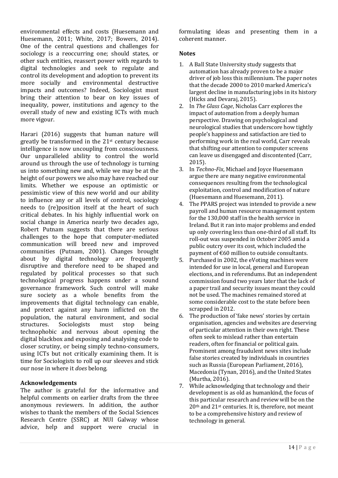14 | P a g e

environmental effects and costs (Huesemann and Huesemann, 2011; White, 2017; Bowers, 2014). One of the central questions and challenges for sociology is a reoccurring one; should states, or other such entities, reassert power with regards to digital technologies and seek to regulate and control its development and adoption to prevent its more socially and environmental destructive impacts and outcomes? Indeed, Sociologist must bring their attention to bear on key issues of inequality, power, institutions and agency to the overall study of new and existing ICTs with much more vigour.

Harari (2016) suggests that human nature will greatly be transformed in the 21st century because intelligence is now uncoupling from consciousness. Our unparalleled ability to control the world around us through the use of technology is turning us into something new and, while we may be at the height of our powers we also may have reached our limits. Whether we espouse an optimistic or pessimistic view of this new world and our ability to influence any or all levels of control, sociology needs to (re)position itself at the heart of such critical debates. In his highly influential work on social change in America nearly two decades ago, Robert Putnam suggests that there are serious challenges to the hope that computer-mediated communication will breed new and improved communities (Putnam, 2001). Changes brought about by digital technology are frequently disruptive and therefore need to be shaped and regulated by political processes so that such technological progress happens under a sound governance framework. Such control will make sure society as a whole benefits from the improvements that digital technology can enable, and protect against any harm inflicted on the population, the natural environment, and social structures. Sociologists must stop being technophobic and nervous about opening the digital blackbox and exposing and analysing code to closer scrutiny, or being simply techno-consumers, using ICTs but not critically examining them. It is time for Sociologists to roll up our sleeves and stick our nose in where it *does* belong.

#### **Acknowledgements**

The author is grateful for the informative and helpful comments on earlier drafts from the three anonymous reviewers. In addition, the author wishes to thank the members of the Social Sciences Research Centre (SSRC) at NUI Galway whose advice, help and support were crucial in formulating ideas and presenting them in a coherent manner.

#### **Notes**

- 1. A Ball State University study suggests that automation has already proven to be a major driver of job loss this millennium. The paper notes that the decade 2000 to 2010 marked America's largest decline in manufacturing jobs in its history (Hicks and Devaraj, 2015).
- 2. In *The Glass Cage*, Nicholas Carr explores the impact of automation from a deeply human perspective. Drawing on psychological and neurological studies that underscore how tightly people's happiness and satisfaction are tied to performing work in the real world, Carr reveals that shifting our attention to computer screens can leave us disengaged and discontented (Carr, 2015).
- 3. In *Techno-Fix*, Michael and Joyce Huesemann argue there are many negative environmental consequences resulting from the technological exploitation, control and modification of nature (Huesemann and Huesemann, 2011).
- 4. The PPARS project was intended to provide a new payroll and human resource management system for the 130,000 staff in the health service in Ireland. But it ran into major problems and ended up only covering less than one-third of all staff. Its roll-out was suspended in October 2005 amid a public outcry over its cost, which included the payment of €60 million to outside consultants.
- 5. Purchased in 2002, the eVoting machines were intended for use in local, general and European elections, and in referendums. But an independent commission found two years later that the lack of a paper trail and security issues meant they could not be used. The machines remained stored at some considerable cost to the state before been scrapped in 2012.
- 6. The production of 'fake news' stories by certain organisation, agencies and websites are deserving of particular attention in their own right. These often seek to mislead rather than entertain readers, often for financial or political gain. Prominent among fraudulent news sites include false stories created by individuals in countries such as Russia (European Parliament, 2016), Macedonia (Tynan, 2016), and the United States (Murtha, 2016).
- 7. While acknowledging that technology and their development is as old as humankind, the focus of this particular research and review will be on the 20th and 21st centuries. It is, therefore, not meant to be a comprehensive history and review of technology in general.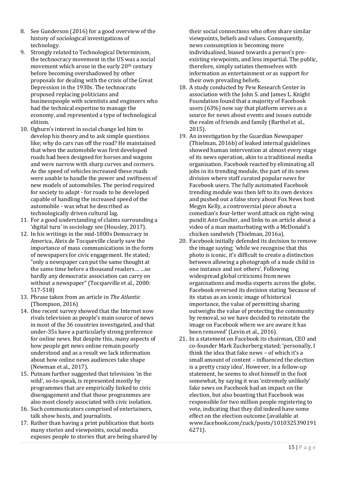- 8. See Gunderson (2016) for a good overview of the history of sociological investigations of technology.
- 9. Strongly related to Technological Determinism, the technocracy movement in the US was a social movement which arose in the early 20th century before becoming overshadowed by other proposals for dealing with the crisis of the Great Depression in the 1930s. The technocrats proposed replacing politicians and businesspeople with scientists and engineers who had the technical expertise to manage the economy, and represented a type of technological elitism.
- 10. Ogburn's interest in social change led him to develop his theory and to ask simple questions like; why do cars run off the road? He maintained that when the automobile was first developed roads had been designed for horses and wagons and were narrow with sharp curves and corners. As the speed of vehicles increased these roads were unable to handle the power and swiftness of new models of automobiles. The period required for society to adapt - for roads to be developed capable of handling the increased speed of the automobile - was what he described as technologically driven cultural lag.
- 11. For a good understanding of claims surrounding a 'digital turn' in sociology see (Housley, 2017).
- 12. In his writings in the mid-1800s Democracy in America, Aleix de Tocqueville clearly saw the importance of mass communications in the form of newspapers for civic engagement. He stated; "only a newspaper can put the same thought at the same time before a thousand readers… …so hardly any democratic association can carry on without a newspaper" (Tocqueville et al., 2000: 517-518)
- 13. Phrase taken from an article in *The Atlantic* (Thompson, 2016)
- 14. One recent survey showed that the Internet now rivals television as people's main source of news in most of the 36 countries investigated, and that under-35s have a particularly strong preference for online news. But despite this, many aspects of how people get news online remain poorly understood and as a result we lack information about how online news audiences take shape (Newman et al., 2017).
- 15. Putnam further suggested that television 'in the wild', so-to-speak, is represented mostly by programmes that are empirically linked to civic disengagement and that those programmes are also most closely associated with civic isolation.
- 16. Such communicators comprised of entertainers, talk show hosts, and journalists.
- 17. Rather than having a print publication that hosts many stories and viewpoints, social media exposes people to stories that are being shared by

their social connections who often share similar viewpoints, beliefs and values. Consequently, news consumption is becoming more individualised, biased towards a person's preexisting viewpoints, and less impartial. The public, therefore, simply satiates themselves with information as entertainment or as support for their own prevailing beliefs.

- 18. A study conducted by Pew Research Center in association with the John S. and James L. Knight Foundation found that a majority of Facebook users (63%) now say that platform serves as a source for news about events and issues outside the realm of friends and family (Barthel et al., 2015).
- 19. An investigation by the Guardian Newspaper (Thielman, 2016b) of leaked internal guidelines showed human intervention at almost every stage of its news operation, akin to a traditional media organisation. Facebook reacted by eliminating all jobs in its trending module, the part of its news division where staff curated popular news for Facebook users. The fully automated Facebook trending module was then left to its own devices and pushed out a false story about Fox News host Megyn Kelly, a controversial piece about a comedian's four-letter word attack on right-wing pundit Ann Coulter, and links to an article about a video of a man masturbating with a McDonald's chicken sandwich (Thielman, 2016a).
- 20. Facebook initially defended its decision to remove the image saying; 'while we recognise that this photo is iconic, it's difficult to create a distinction between allowing a photograph of a nude child in one instance and not others'. Following widespread global criticisms from news organisations and media experts across the globe, Facebook reversed its decision stating 'because of its status as an iconic image of historical importance, the value of permitting sharing outweighs the value of protecting the community by removal, so we have decided to reinstate the image on Facebook where we are aware it has been removed' (Levin et al., 2016).
- 21. In a statement on Facebook its chairman, CEO and co-founder Mark Zuckerberg stated; 'personally, I think the idea that fake news – of which it's a small amount of content – influenced the election is a pretty crazy idea'. However, in a follow-up statement, he seems to shot himself in the foot somewhat, by saying it was 'extremely unlikely' fake news on Facebook had an impact on the election, but also boasting that Facebook was responsible for two million people registering to vote, indicating that they did indeed have some effect on the election outcome (available at [www.facebook.com/zuck/posts/1010325390191](http://www.facebook.com/zuck/posts/10103253901916271) [6271\)](http://www.facebook.com/zuck/posts/10103253901916271).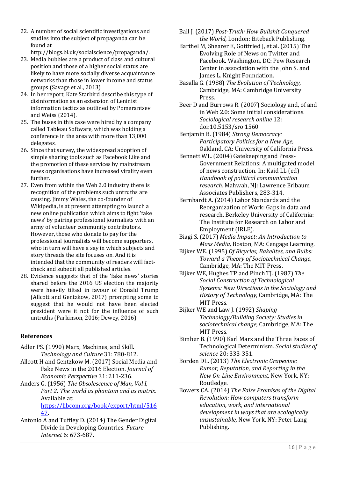22. A number of social scientific investigations and studies into the subject of propaganda can be found at

[http://blogs.bl.uk/socialscience/propaganda/.](http://blogs.bl.uk/socialscience/propaganda/)

- 23. Media bubbles are a product of class and cultural position and those of a higher social status are likely to have more socially diverse acquaintance networks than those in lower income and status groups (Savage et al., 2013)
- 24. In her report, Kate Starbird describe this type of disinformation as an extension of Leninist information tactics as outlined by Pomerantsev and Weiss (2014).
- 25. The buses in this case were hired by a company called Tableau Software, which was holding a conference in the area with more than 13,000 delegates.
- 26. Since that survey, the widespread adoption of simple sharing tools such as Facebook Like and the promotion of these services by mainstream news organisations have increased virality even further.
- 27. Even from within the Web 2.0 industry there is recognition of the problems such untruths are causing. Jimmy Wales, the co-founder of Wikipedia, is at present attempting to launch a new online publication which aims to fight 'fake news' by pairing professional journalists with an army of volunteer community contributors. However, those who donate to pay for the professional journalists will become supporters, who in turn will have a say in which subjects and story threads the site focuses on. And it is intended that the community of readers will factcheck and subedit all published articles.
- 28. Evidence suggests that of the 'fake news' stories shared before the 2016 US election the majority were heavily tilted in favour of Donald Trump (Allcott and Gentzkow, 2017) prompting some to suggest that he would not have been elected president were it not for the influence of such untruths (Parkinson, 2016; Dewey, 2016)

# **References**

- Adler PS. (1990) Marx, Machines, and Skill. *Technology and Culture* 31: 780-812.
- Allcott H and Gentzkow M. (2017) Social Media and Fake News in the 2016 Election. *Journal of Economic Perspective* 31: 211-236.
- Anders G. (1956) *The Obsolescence of Man, Vol I, Part 2: The world as phantom and as matrix*. Available at: [https://libcom.org/book/export/html/516](https://libcom.org/book/export/html/51647)

[47.](https://libcom.org/book/export/html/51647)

Antonio A and Tuffley D. (2014) The Gender Digital Divide in Developing Countries. *Future Internet* 6: 673-687.

- Ball J. (2017) *Post-Truth: How Bullshit Conquered the World,* London: Biteback Publishing.
- Barthel M, Shearer E, Gottfried J, et al. (2015) The Evolving Role of News on Twitter and Facebook. Washington, DC: Pew Research Center in association with the John S. and James L. Knight Foundation.
- Basalla G. (1988) *The Evolution of Technology,*  Cambridge, MA: Cambridge University Press.
- Beer D and Burrows R. (2007) Sociology and, of and in Web 2.0: Some initial considerations. *Sociological research online* 12: doi:10.5153/sro.1560.
- Benjamin B. (1984) *Strong Democracy: Participatory Politics for a New Age,*  Oakland, CA: University of California Press.
- Bennett WL. (2004) Gatekeeping and Press-Government Relations: A multigated model of news construction. In: Kaid LL (ed) *Handbook of political communication research.* Mahwah, NJ: Lawrence Erlbaum Associates Publishers, 283-314.
- Bernhardt A. (2014) Labor Standards and the Reorganization of Work: Gaps in data and research. Berkeley University of California: The Institute for Research on Labor and Employment (IRLE).
- Biagi S. (2017) *Media Impact: An Introduction to Mass Media,* Boston, MA: Cengage Learning.
- Bijker WE. (1995) *Of Bicycles, Bakelites, and Bulbs: Toward a Theory of Sociotechnical Change,*  Cambridge, MA: The MIT Press.
- Bijker WE, Hughes TP and Pinch TJ. (1987) *The Social Construction of Technological Systems: New Directions in the Sociology and History of Technology,* Cambridge, MA: The MIT Press.
- Bijker WE and Law J. (1992) *Shaping Technology/Building Society: Studies in sociotechnical change,* Cambridge, MA: The MIT Press.
- Bimber B. (1990) Karl Marx and the Three Faces of Technological Determinism. *Social studies of science* 20: 333-351.
- Borden DL. (2013) *The Electronic Grapevine: Rumor, Reputation, and Reporting in the New On-Line Environment,* New York, NY: Routledge.
- Bowers CA. (2014) *The False Promises of the Digital Revolution: How computers transform education, work, and international development in ways that are ecologically unsustainable,* New York, NY: Peter Lang Publishing.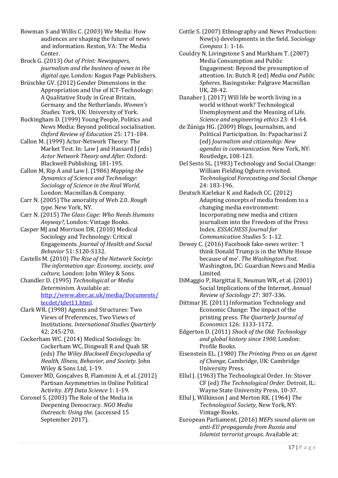Bowman S and Willis C. (2003) We Media: How audiences are shaping the future of news and information. Reston, VA: The Media Center.

Brock G. (2013) *Out of Print: Newspapers, journalism and the business of news in the digital age,* London: Kogan Page Publishers.

Brüschke GV. (2012) Gender Dimensions in the Appropriation and Use of ICT‐Technology: A Qualitative Study in Great Britain, Germany and the Netherlands. *Women's Studies.* York, UK: University of York.

Buckingham D. (1999) Young People, Politics and News Media: Beyond political socialisation. *Oxford Review of Education* 25: 171-184.

Callon M. (1999) Actor-Network Theory: The Market Test. In: Law J and Hassard J (eds) *Actor Network Theory and After.* Oxford: Blackwell Publishing, 181-195.

Callon M, Rip A and Law J. (1986) *Mapping the Dynamics of Science and Technology: Sociology of Science in the Real World,*  London: Macmillan & Company.

Carr N. (2005) The amorality of Web 2.0. *Rough type.* New York, NY.

Carr N. (2015) *The Glass Cage: Who Needs Humans Anyway?,* London: Vintage Books.

Casper MJ and Morrison DR. (2010) Medical Sociology and Technology: Critical Engagements. *Journal of Health and Social Behavior* 51: S120-S132.

Castells M. (2010) *The Rise of the Network Society: The information age: Economy, society, and culture,* London: John Wiley & Sons.

Chandler D. (1995) *Technological or Media Determinism*. Available at: [http://www.aber.ac.uk/media/Documents/](http://www.aber.ac.uk/media/Documents/tecdet/tdet11.html) [tecdet/tdet11.html.](http://www.aber.ac.uk/media/Documents/tecdet/tdet11.html)

Clark WR. (1998) Agents and Structures: Two Views of Preferences, Two Views of Institutions. *International Studies Quarterly* 42: 245-270.

Cockerham WC. (2014) Medical Sociology. In: Cockerham WC, Dingwall R and Quah SR (eds) *The Wiley Blackwell Encyclopedia of Health, Illness, Behavior, and Society.* John Wiley & Sons Ltd, 1-19.

Conover MD, Gonçalves B, Flammini A, et al. (2012) Partisan Asymmetries in Online Political Activity. *EPJ Data Science* 1: 1-19.

Coronel S. (2003) The Role of the Media in Deepening Democracy. *NGO Media Outreach: Using the*. (accessed 15 September 2017).

Cottle S. (2007) Ethnography and News Production: New(s) developments in the field. *Sociology Compass* 1: 1-16.

Couldry N, Livingstone S and Markham T. (2007) Media Consumption and Public Engagement: Beyond the presumption of attention. In: Butch R (ed) *Media and Public Spheres.* Basingstoke: Palgrave Macmillan UK, 28-42.

Danaher J. (2017) Will life be worth living in a world without work? Technological Unemployment and the Meaning of Life. *Science and engineering ethics* 23: 41-64.

de Zúniga HG. (2009) Blogs, Journalism, and Political Participation. In: Papacharissi Z (ed) *Journalism and citizenship: New agendas in communication.* New York, NY: Routledge, 108-123.

Del Sesto SL. (1983) Technology and Social Change: William Fielding Ogburn revisited. *Technological Forecasting and Social Change* 24: 183-196.

Deutsch Karlekar K and Radsch CC. (2012) Adapting concepts of media freedom to a changing media environment: Incorporating new media and citizen journalism into the Freedom of the Press Index. *ESSACHESS Journal for Communication Studies* 5: 1-12.

Dewey C. (2016) Facebook fake-news writer: 'I think Donald Trump is in the White House because of me'. *The Washington Post.* Washington, DC: Guardian News and Media Limited.

DiMaggio P, Hargittai E, Neuman WR, et al. (2001) Social Implications of the Internet. *Annual Review of Sociology* 27: 307-336.

Dittmar IE. (2011) Information Technology and Economic Change: The impact of the printing press. *The Quarterly Journal of Economics* 126: 1133-1172.

Edgerton D. (2011) *Shock of the Old: Technology and global history since 1900,* London: Profile Books.

Eisenstein EL. (1980) *The Printing Press as an Agent of Change,* Cambridge, UK: Cambridge University Press.

Ellul J. (1963) The Technological Order. In: Stover CF (ed) *The Technological Order.* Detroit, IL: Wayne State University Press, 10-37.

Ellul J, Wilkinson J and Merton RK. (1964) *The Technological Society,* New York, NY: Vintage Books.

European Parliament. (2016) *MEPs sound alarm on anti-EU propaganda from Russia and Islamist terrorist groups*. Available at: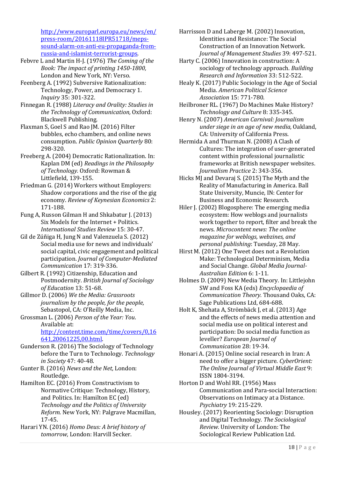[http://www.europarl.europa.eu/news/en/](http://www.europarl.europa.eu/news/en/press-room/20161118IPR51718/meps-sound-alarm-on-anti-eu-propaganda-from-russia-and-islamist-terrorist-groups) [press-room/20161118IPR51718/meps](http://www.europarl.europa.eu/news/en/press-room/20161118IPR51718/meps-sound-alarm-on-anti-eu-propaganda-from-russia-and-islamist-terrorist-groups)[sound-alarm-on-anti-eu-propaganda-from](http://www.europarl.europa.eu/news/en/press-room/20161118IPR51718/meps-sound-alarm-on-anti-eu-propaganda-from-russia-and-islamist-terrorist-groups)[russia-and-islamist-terrorist-groups.](http://www.europarl.europa.eu/news/en/press-room/20161118IPR51718/meps-sound-alarm-on-anti-eu-propaganda-from-russia-and-islamist-terrorist-groups)

- Febvre L and Martin H-J. (1976) *The Coming of the Book: The impact of printing 1450-1800,*  London and New York, NY: Verso.
- Feenberg A. (1992) Subversive Rationalization: Technology, Power, and Democracy 1. *Inquiry* 35: 301-322.
- Finnegan R. (1988) *Literacy and Orality: Studies in the Technology of Communication,* Oxford: Blackwell Publishing.
- Flaxman S, Goel S and Rao JM. (2016) Filter bubbles, echo chambers, and online news consumption. *Public Opinion Quarterly* 80: 298-320.
- Freeberg A. (2004) Democratic Rationalization. In: Kaplan DM (ed) *Readings in the Philosophy of Technology.* Oxford: Rowman & Littlefield, 139-155.
- Friedman G. (2014) Workers without Employers: Shadow corporations and the rise of the gig economy. *Review of Keynesian Economics* 2: 171-188.
- Fung A, Russon Gilman H and Shkabatur J. (2013) Six Models for the Internet + Politics. *International Studies Review* 15: 30-47.
- Gil de Zúñiga H, Jung N and Valenzuela S. (2012) Social media use for news and individuals' social capital, civic engagement and political participation. *Journal of Computer‐Mediated Communication* 17: 319-336.
- Gilbert R. (1992) Citizenship, Education and Postmodernity. *British Journal of Sociology of Education* 13: 51-68.
- Gillmor D. (2006) *We the Media: Grassroots journalism by the people, for the people,*  Sebastopol, CA: O'Reilly Media, Inc.
- Grossman L. (2006) *Person of the Year: You*. Available at: [http://content.time.com/time/covers/0,16](http://content.time.com/time/covers/0,16641,20061225,00.html)

[641,20061225,00.html.](http://content.time.com/time/covers/0,16641,20061225,00.html)

- Gunderson R. (2016) The Sociology of Technology before the Turn to Technology. *Technology in Society* 47: 40-48.
- Gunter B. (2016) *News and the Net,* London: Routledge.
- Hamilton EC. (2016) From Constructivism to Normative Critique: Technology, History, and Politics. In: Hamilton EC (ed) *Technology and the Politics of University Reform.* New York, NY: Palgrave Macmillan, 17-45.
- Harari YN. (2016) *Homo Deus: A brief history of tomorrow,* London: Harvill Secker.
- Harrisson D and Laberge M. (2002) Innovation, Identities and Resistance: The Social Construction of an Innovation Network. *Journal of Management Studies* 39: 497-521.
- Harty C. (2006) Innovation in construction: A sociology of technology approach. *Building Research and Information* 33: 512-522.
- Healy K. (2017) Public Sociology in the Age of Social Media. *American Political Science Association* 15: 771-780.
- Heilbroner RL. (1967) Do Machines Make History? *Technology and Culture* 8: 335-345.
- Henry N. (2007) *American Carnival: Journalism under siege in an age of new media,* Oakland, CA: University of California Press.
- Hermida A and Thurman N. (2008) A Clash of Cultures: The integration of user-generated content within professional journalistic frameworks at British newspaper websites. *Journalism Practice* 2: 343-356.
- Hicks MJ and Devaraj S. (2015) The Myth and the Reality of Manufacturing in America. Ball State University, Muncie, IN: Center for Business and Economic Research.
- Hiler J. (2002) Blogosphere: The emerging media ecosystem: How weblogs and journalists work together to report, filter and break the news. *Microcontent news: The online magazine for weblogs, webzines, and personal publishing*: Tuesday, 28 May.
- Hirst M. (2012) One Tweet does not a Revolution Make: Technological Determinism, Media and Social Change. *Global Media Journal-Australian Edition* 6: 1-11.
- Holmes D. (2009) New Media Theory. In: Littlejohn SW and Foss KA (eds) *Encyclopaedia of Communication Theory.* Thousand Oaks, CA: Sage Publications Ltd, 684-688.
- Holt K, Shehata A, Strömbäck J, et al. (2013) Age and the effects of news media attention and social media use on political interest and participation: Do social media function as leveller? *European Journal of Communication* 28: 19-34.
- Honari A. (2015) Online social research in Iran: A need to offer a bigger picture. *CyberOrient: The Online Journal of Virtual Middle East* 9: ISSN 1804-3194.
- Horton D and Wohl RR. (1956) Mass Communication and Para-social Interaction: Observations on Intimacy at a Distance. *Psychiatry* 19: 215-229.
- Housley. (2017) Reorienting Sociology: Disruption and Digital Technology. *The Sociological Review.* University of London: The Sociological Review Publication Ltd.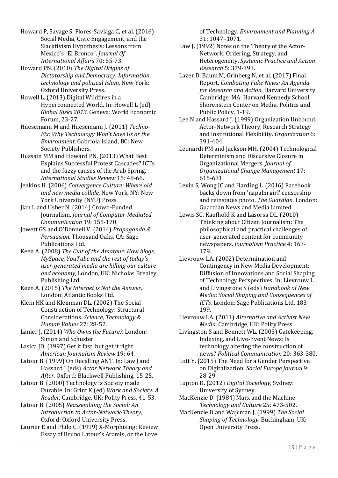Howard P, Savage S, Flores-Saviaga C, et al. (2016) Social Media, Civic Engagement, and the Slacktivism Hypothesis: Lessons from Mexico's "El Bronco". *Journal Of International Affairs* 70: 55-73.

Howard PN. (2010) *The Digital Origins of Dictatorship and Democracy: Information technology and political Islam,* New York: Oxford University Press.

Howell L. (2013) Digital Wildfires in a Hyperconnected World. In: Howell L (ed) *Global Risks 2013.* Geneva: World Economic Forum, 23-27.

Huesemann M and Huesemann J. (2011) *Techno-Fix: Why Technology Won't Save Us or the Environment,* Gabriola Island, BC: New Society Publishers.

Hussain MM and Howard PN. (2013) What Best Explains Successful Protest Cascades? ICTs and the fuzzy causes of the Arab Spring. *International Studies Review* 15: 48-66.

Jenkins H. (2006) *Convergence Culture: Where old and new media collide,* New York, NY: New York University (NYU) Press.

Jian L and Usher N. (2014) Crowd-Funded Journalism. *Journal of Computer-Mediated Communication* 19: 155-170.

Jowett GS and O'Donnell V. (2014) *Propaganda & Persuasion,* Thousand Oaks, CA: Sage Publications Ltd.

Keen A. (2008) *The Cult of the Amateur: How blogs, MySpace, YouTube and the rest of today's user-generated media are killing our culture and economy,* London, UK: Nicholas Brealey Publishing Ltd.

Keen A. (2015) *The Internet is Not the Answer,*  London: Atlantic Books Ltd.

Klein HK and Kleinman DL. (2002) The Social Construction of Technology: Structural Considerations. *Science, Technology & Human Values* 27: 28-52.

Lanier J. (2014) *Who Owns the Future?,* London: Simon and Schuster.

Lasica JD. (1997) Get it fast, but get it right. *American Journalism Review* 19: 64.

Latour B. (1999) On Recalling ANT. In: Law J and Hassard J (eds) *Actor Network Theory and After.* Oxford: Blackwell Publishing, 15-25.

Latour B. (2000) Technology is Society made Durable. In: Grint K (ed) *Work and Society: A Reader.* Cambridge, UK: Polity Press, 41-53.

Latour B. (2005) *Reassembling the Social: An Introduction to Actor-Network-Theory,*  Oxford: Oxford University Press.

Laurier E and Philo C. (1999) X-Morphising: Review Essay of Bruno Latour's Aramis, or the Love

of Technology. *Environment and Planning A* 31: 1047–1071.

Law J. (1992) Notes on the Theory of the Actor-Network: Ordering, Strategy, and Heterogeneity. *Systemic Practice and Action Research* 5: 379-393.

Lazer D, Baum M, Grinberg N, et al. (2017) Final Report. *Combating Fake News: An Agenda for Research and Action.* Harvard University, Cambridge, MA: Harvard Kennedy School, Shorenstein Center on Media, Politics and Public Policy, 1-19.

Lee N and Hassard J. (1999) Organization Unbound: Actor-Network Theory, Research Strategy and Institutional Flexibility. *Organization* 6: 391-404.

Leonardi PM and Jackson MH. (2004) Technological Determinism and Discursive Closure in Organizational Mergers. *Journal of Organizational Change Management* 17: 615-631.

Levin S, Wong JC and Harding L. (2016) Facebook backs down from 'napalm girl' censorship and reinstates photo. *The Guardian.* London: Guardian News and Media Limited.

Lewis SC, Kaufhold K and Lasorsa DL. (2010) Thinking about Citizen Journalism: The philosophical and practical challenges of user-generated content for community newspapers. *Journalism Practice* 4: 163- 179.

Lievrouw LA. (2002) Determination and Contingency in New Media Development: Diffusion of Innovations and Social Shaping of Technology Perspectives. In: Lievrouw L and Livingstone S (eds) *Handbook of New Media: Social Shaping and Consequences of ICTs.* London: Sage Publications Ltd, 183- 199.

Lievrouw LA. (2011) *Alternative and Activist New Media,* Cambridge, UK: Polity Press.

Livingston S and Bennett WL. (2003) Gatekeeping, Indexing, and Live-Event News: Is technology altering the construction of news? *Political Communication* 20: 363-380.

Lott Y. (2015) The Need for a Gender Perspective on Digitalization. *Social Europe Journal* 9: 28-29.

Lupton D. (2012) *Digital Sociology,* Sydney: University of Sydney.

MacKenzie D. (1984) Marx and the Machine. *Technology and Culture* 25: 473-502.

MacKenzie D and Wajcman J. (1999) *The Social Shaping of Technology,* Buckingham, UK: Open University Press.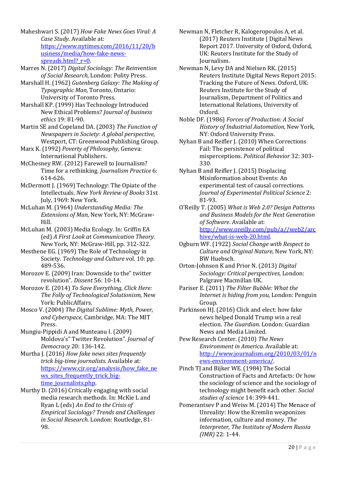Maheshwari S. (2017) *How Fake News Goes Viral: A Case Study*. Available at: [https://www.nytimes.com/2016/11/20/b](https://www.nytimes.com/2016/11/20/business/media/how-fake-news-spreads.html?_r=0) [usiness/media/how-fake-news](https://www.nytimes.com/2016/11/20/business/media/how-fake-news-spreads.html?_r=0)spreads.html? $r=0$ .

Marres N. (2017) *Digital Sociology: The Reinvention of Social Research,* London: Polity Press.

Marshall H. (1962) *Gutenberg Galaxy: The Making of Typographic Man,* Toronto, Ontario: University of Toronto Press.

Marshall KP. (1999) Has Technology Introduced New Ethical Problems? *Journal of business ethics* 19: 81-90.

Martin SE and Copeland DA. (2003) *The Function of Newspapers in Society: A global perspective,*  Westport, CT: Greenwood Publishing Group.

Marx K. (1992) *Poverty of Philosophy,* Geneva: International Publishers.

McChesney RW. (2012) Farewell to Journalism? Time for a rethinking. *Journalism Practice* 6: 614-626.

McDermott J. (1969) Technology: The Opiate of the Intellectuals. *New York Review of Books* 31st July, 1969: New York.

McLuhan M. (1964) *Understanding Media: The Extensions of Man,* New York, NY: McGraw-Hill.

McLuhan M. (2003) Media Ecology. In: Griffin EA (ed) *A First Look at Communication Theory.* New York, NY: McGraw-Hill, pp. 312-322.

Mesthene EG. (1969) The Role of Technology in Society. *Technology and Culture* vol. 10: pp. 489-536.

Morozov E. (2009) Iran: Downside to the" twitter revolution". *Dissent* 56: 10-14.

Morozov E. (2014) *To Save Everything, Click Here: The Folly of Technological Solutionism,* New York: PublicAffairs.

Mosco V. (2004) *The Digital Sublime: Myth, Power, and Cyberspace,* Cambridge, MA: The MIT Press.

Mungiu-Pippidi A and Munteanu I. (2009) Moldova's" Twitter Revolution". *Journal of Democracy* 20: 136-142.

Murtha J. (2016) *How fake news sites frequently trick big-time journalists*. Available at: [https://www.cjr.org/analysis/how\\_fake\\_ne](https://www.cjr.org/analysis/how_fake_news_sites_frequently_trick_big-time_journalists.php) ws sites frequently trick big[time\\_journalists.php.](https://www.cjr.org/analysis/how_fake_news_sites_frequently_trick_big-time_journalists.php)

Murthy D. (2016) Critically engaging with social media research methods. In: McKie L and Ryan L (eds) *An End to the Crisis of Empirical Sociology? Trends and Challenges in Social Research.* London: Routledge, 81- 98.

Newman N, Fletcher R, Kalogeropoulos A, et al. (2017) Reuters Institute | Digital News Report 2017. University of Oxford, Oxford, UK: Reuters Institute for the Study of Journalism.

Newman N, Levy DA and Nielsen RK. (2015) Reuters Institute Digital News Report 2015: Tracking the Future of News. Oxford, UK: Reuters Institute for the Study of Journalism, Department of Politics and International Relations, University of Oxford.

Noble DF. (1986) *Forces of Production: A Social History of Industrial Automation,* New York, NY: Oxford University Press.

Nyhan B and Reifler J. (2010) When Corrections Fail: The persistence of political misperceptions. *Political Behavior* 32: 303- 330.

Nyhan B and Reifler J. (2015) Displacing Misinformation about Events: An experimental test of causal corrections. *Journal of Experimental Political Science* 2: 81-93.

O'Reilly T. (2005) *What is Web 2.0? Design Patterns and Business Models for the Next Generation of Software*. Available at: [http://www.oreilly.com/pub/a//web2/arc](http://www.oreilly.com/pub/a/web2/archive/what-is-web-20.html) [hive/what-is-web-20.html.](http://www.oreilly.com/pub/a/web2/archive/what-is-web-20.html)

Ogburn WF. (1922) *Social Change with Respect to Culture and Original Nature,* New York, NY: BW Huebsch.

Orton-Johnson K and Prior N. (2013) *Digital Sociology: Critical perspectives,* London: Palgrave Macmillan UK.

Pariser E. (2011) *The Filter Bubble: What the Internet is hiding from you,* London: Penguin Group.

Parkinson HJ. (2016) Click and elect: how fake news helped Donald Trump win a real election. *The Guardian.* London: Guardian News and Media Limited.

Pew Research Center. (2010) *The News Environment in America*. Available at: [http://www.journalism.org/2010/03/01/n](http://www.journalism.org/2010/03/01/news-environment-america/) [ews-environment-america/.](http://www.journalism.org/2010/03/01/news-environment-america/)

Pinch TJ and Bijker WE. (1984) The Social Construction of Facts and Artefacts: Or how the sociology of science and the sociology of technology might benefit each other. *Social studies of science* 14: 399-441.

Pomerantsev P and Weiss M. (2014) The Menace of Unreality: How the Kremlin weaponizes information, culture and money. *The Interpreter, The Institute of Modern Russia (IMR)* 22: 1-44.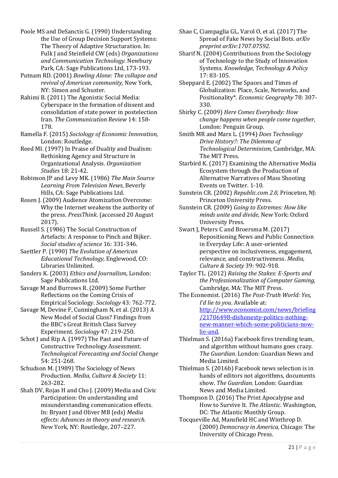Poole MS and DeSanctis G. (1990) Understanding the Use of Group Decision Support Systems: The Theory of Adaptive Structuration. In: Fulk J and Steinfield CW (eds) *Organizations and Communication Technology.* Newbury Park, CA: Sage Publications Ltd, 173-193.

Putnam RD. (2001) *Bowling Alone: The collapse and revival of American community,* New York, NY: Simon and Schuster.

Rahimi B. (2011) The Agonistic Social Media: Cyberspace in the formation of dissent and consolidation of state power in postelection Iran. *The Communication Review* 14: 158- 178.

Ramella F. (2015) *Sociology of Economic Innovation,*  London: Routledge.

Reed MI. (1997) In Praise of Duality and Dualism: Rethinking Agency and Structure in Organizational Analysis. *Organization Studies* 18: 21-42.

Robinson JP and Levy MK. (1986) *The Main Source Learning From Television News,* Beverly Hills, CA: Sage Publications Ltd.

Rosen J. (2009) Audience Atomization Overcome: Why the Internet weakens the authority of the press. *PressThink*. (accessed 20 August 2017).

Russell S. (1986) The Social Construction of Artefacts: A response to Pinch and Bijker. *Social studies of science* 16: 331-346.

Saettler P. (1990) *The Evolution of American Educational Technology,* Englewood, CO: Libraries Unlimited.

Sanders K. (2003) *Ethics and Journalism,* London: Sage Publications Ltd.

Savage M and Burrows R. (2009) Some Further Reflections on the Coming Crisis of Empirical Sociology. *Sociology* 43: 762-772.

Savage M, Devine F, Cunningham N, et al. (2013) A New Model of Social Class? Findings from the BBC's Great British Class Survey Experiment. *Sociology* 47: 219-250.

Schot J and Rip A. (1997) The Past and Future of Constructive Technology Assessment. *Technological Forecasting and Social Change* 54: 251-268.

Schudson M. (1989) The Sociology of News Production. *Media, Culture & Society* 11: 263-282.

Shah DV, Rojas H and Cho J. (2009) Media and Civic Participation: On understanding and misunderstanding communication effects. In: Bryant J and Oliver MB (eds) *Media effects: Advances in theory and research.* New York, NY: Routledge, 207–227.

Shao C, Ciampaglia GL, Varol O, et al. (2017) The Spread of Fake News by Social Bots. *arXiv preprint arXiv:1707.07592*.

Sharif N. (2004) Contributions from the Sociology of Technology to the Study of Innovation Systems. *Knowledge, Technology & Policy* 17: 83-105.

Sheppard E. (2002) The Spaces and Times of Globalization: Place, Scale, Networks, and Positionality\*. *Economic Geography* 78: 307- 330.

Shirky C. (2009) *Here Comes Everybody: How change happens when people come together,*  London: Penguin Group.

Smith MR and Marx L. (1994) *Does Technology Drive History?: The Dilemma of Technological Determinism,* Cambridge, MA: The MIT Press.

Starbird K. (2017) Examining the Alternative Media Ecosystem through the Production of Alternative Narratives of Mass Shooting Events on Twitter. 1-10.

Sunstein CR. (2002) *Republic.com 2.0,* Princeton, NJ: Princeton University Press.

Sunstein CR. (2009) *Going to Extremes: How like minds unite and divide,* New York: Oxford University Press.

Swart J, Peters C and Broersma M. (2017) Repositioning News and Public Connection in Everyday Life: A user-oriented perspective on inclusiveness, engagement, relevance, and constructiveness. *Media, Culture & Society* 39: 902-918.

Taylor TL. (2012) *Raising the Stakes: E-Sports and the Professionalization of Computer Gaming,*  Cambridge, MA: The MIT Press.

The Economist. (2016) *The Post-Truth World: Yes, I'd lie to you*. Available at: [http://www.economist.com/news/briefing](http://www.economist.com/news/briefing/21706498-dishonesty-politics-nothing-new-manner-which-some-politicians-now-lie-and) [/21706498-dishonesty-politics-nothing](http://www.economist.com/news/briefing/21706498-dishonesty-politics-nothing-new-manner-which-some-politicians-now-lie-and)[new-manner-which-some-politicians-now](http://www.economist.com/news/briefing/21706498-dishonesty-politics-nothing-new-manner-which-some-politicians-now-lie-and)[lie-and.](http://www.economist.com/news/briefing/21706498-dishonesty-politics-nothing-new-manner-which-some-politicians-now-lie-and)

Thielman S. (2016a) Facebook fires trending team, and algorithm without humans goes crazy. *The Guardian.* London: Guardian News and Media Limited.

Thielman S. (2016b) Facebook news selection is in hands of editors not algorithms, documents show. *The Guardian.* London: Guardian News and Media Limited.

Thompson D. (2016) The Print Apocalypse and How to Survive It. *The Atlantic.* Washington, DC: The Atlantic Monthly Group.

Tocqueville Ad, Mansfield HC and Winthrop D. (2000) *Democracy in America,* Chicago: The University of Chicago Press.